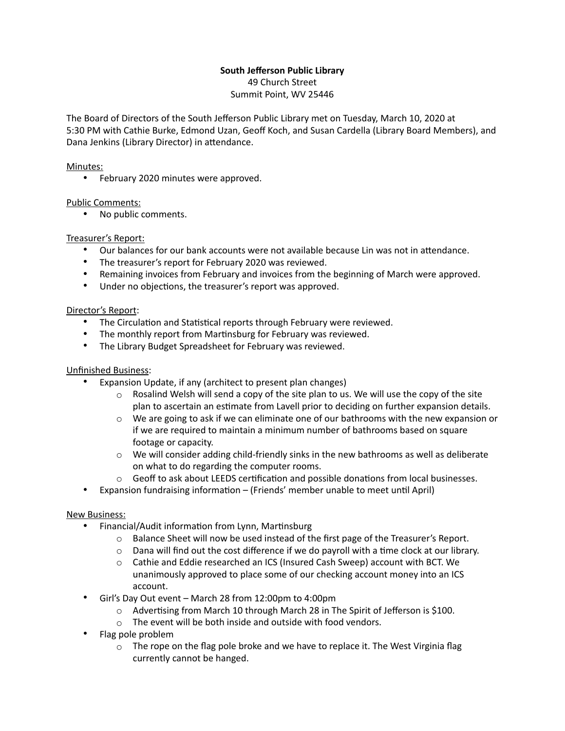# **South Jefferson Public Library**

49 Church Street Summit Point, WV 25446

The Board of Directors of the South Jefferson Public Library met on Tuesday, March 10, 2020 at 5:30 PM with Cathie Burke, Edmond Uzan, Geoff Koch, and Susan Cardella (Library Board Members), and Dana Jenkins (Library Director) in attendance.

### Minutes:

• February 2020 minutes were approved.

### Public Comments:

• No public comments.

## Treasurer's Report:

- Our balances for our bank accounts were not available because Lin was not in attendance.
- The treasurer's report for February 2020 was reviewed.
- Remaining invoices from February and invoices from the beginning of March were approved.
- Under no objections, the treasurer's report was approved.

### Director's Report:

- The Circulation and Statistical reports through February were reviewed.
- The monthly report from Martinsburg for February was reviewed.
- The Library Budget Spreadsheet for February was reviewed.

### Unfinished Business:

- Expansion Update, if any (architect to present plan changes)
	- $\circ$  Rosalind Welsh will send a copy of the site plan to us. We will use the copy of the site plan to ascertain an estimate from Lavell prior to deciding on further expansion details.
	- $\circ$  We are going to ask if we can eliminate one of our bathrooms with the new expansion or if we are required to maintain a minimum number of bathrooms based on square footage or capacity.
	- $\circ$  We will consider adding child-friendly sinks in the new bathrooms as well as deliberate on what to do regarding the computer rooms.
	- $\circ$  Geoff to ask about LEEDS certification and possible donations from local businesses.
- Expansion fundraising information (Friends' member unable to meet until April)

### New Business:

- Financial/Audit information from Lynn, Martinsburg
	- $\circ$  Balance Sheet will now be used instead of the first page of the Treasurer's Report.
	- $\circ$  Dana will find out the cost difference if we do payroll with a time clock at our library.
	- $\circ$  Cathie and Eddie researched an ICS (Insured Cash Sweep) account with BCT. We unanimously approved to place some of our checking account money into an ICS account.
- Girl's Day Out event March 28 from 12:00pm to 4:00pm
	- $\circ$  Advertising from March 10 through March 28 in The Spirit of Jefferson is \$100.
	- o The event will be both inside and outside with food vendors.
- Flag pole problem
	- $\circ$  The rope on the flag pole broke and we have to replace it. The West Virginia flag currently cannot be hanged.